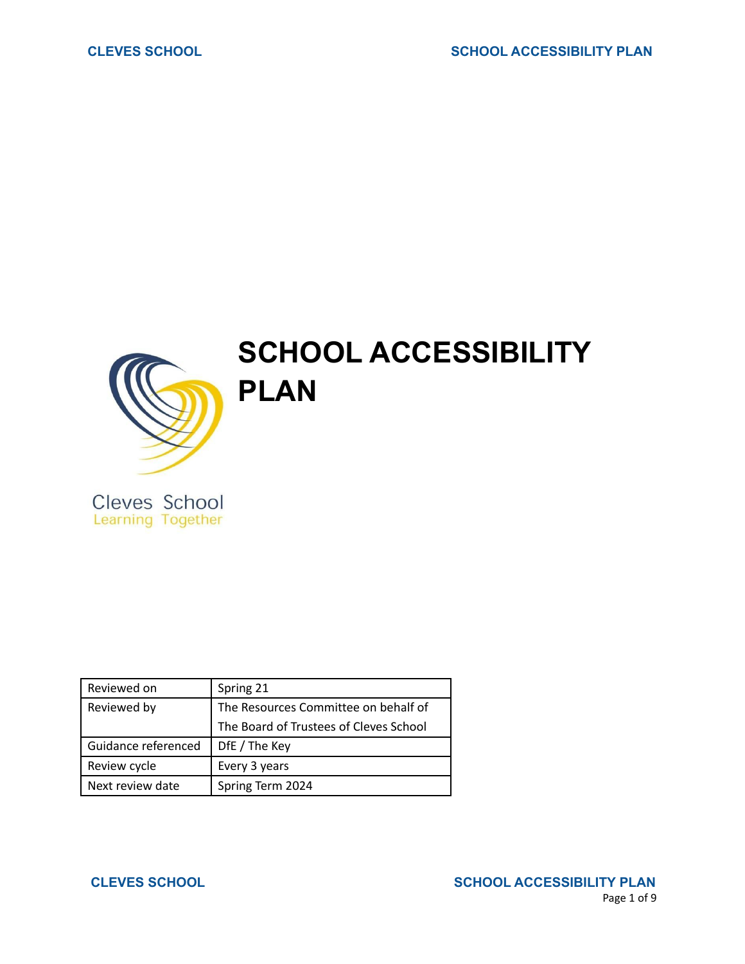

# **SCHOOL ACCESSIBILITY PLAN**

Cleves School<br>Learning Together

| Reviewed on         | Spring 21                              |
|---------------------|----------------------------------------|
| Reviewed by         | The Resources Committee on behalf of   |
|                     | The Board of Trustees of Cleves School |
| Guidance referenced | DfE / The Key                          |
| Review cycle        | Every 3 years                          |
| Next review date    | Spring Term 2024                       |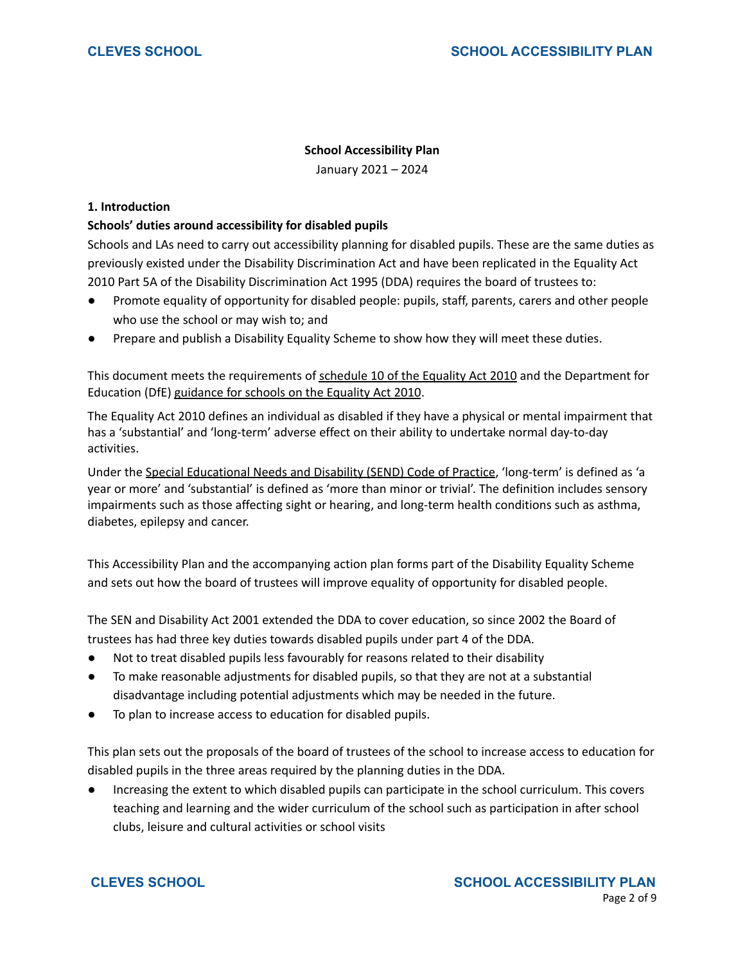### **School Accessibility Plan**

January 2021 – 2024

### **1. Introduction**

### **Schools' duties around accessibility for disabled pupils**

Schools and LAs need to carry out accessibility planning for disabled pupils. These are the same duties as previously existed under the Disability Discrimination Act and have been replicated in the Equality Act 2010 Part 5A of the Disability Discrimination Act 1995 (DDA) requires the board of trustees to:

- Promote equality of opportunity for disabled people: pupils, staff, parents, carers and other people who use the school or may wish to; and
- Prepare and publish a Disability Equality Scheme to show how they will meet these duties.

This document meets the requirements of [schedule](http://www.legislation.gov.uk/ukpga/2010/15/schedule/10) 10 of the Equality Act 2010 and the Department for Education (DfE) [guidance](https://www.gov.uk/government/publications/equality-act-2010-advice-for-schools) for schools on the Equality Act 2010.

The Equality Act 2010 defines an individual as disabled if they have a physical or mental impairment that has a 'substantial' and 'long-term' adverse effect on their ability to undertake normal day-to-day activities.

Under the Special [Educational](https://www.gov.uk/government/publications/send-code-of-practice-0-to-25) Needs and Disability (SEND) Code of Practice, 'long-term' is defined as 'a year or more' and 'substantial' is defined as 'more than minor or trivial'. The definition includes sensory impairments such as those affecting sight or hearing, and long-term health conditions such as asthma, diabetes, epilepsy and cancer.

This Accessibility Plan and the accompanying action plan forms part of the Disability Equality Scheme and sets out how the board of trustees will improve equality of opportunity for disabled people.

The SEN and Disability Act 2001 extended the DDA to cover education, so since 2002 the Board of trustees has had three key duties towards disabled pupils under part 4 of the DDA.

- Not to treat disabled pupils less favourably for reasons related to their disability
- To make reasonable adjustments for disabled pupils, so that they are not at a substantial disadvantage including potential adjustments which may be needed in the future.
- To plan to increase access to education for disabled pupils.

This plan sets out the proposals of the board of trustees of the school to increase access to education for disabled pupils in the three areas required by the planning duties in the DDA.

Increasing the extent to which disabled pupils can participate in the school curriculum. This covers teaching and learning and the wider curriculum of the school such as participation in after school clubs, leisure and cultural activities or school visits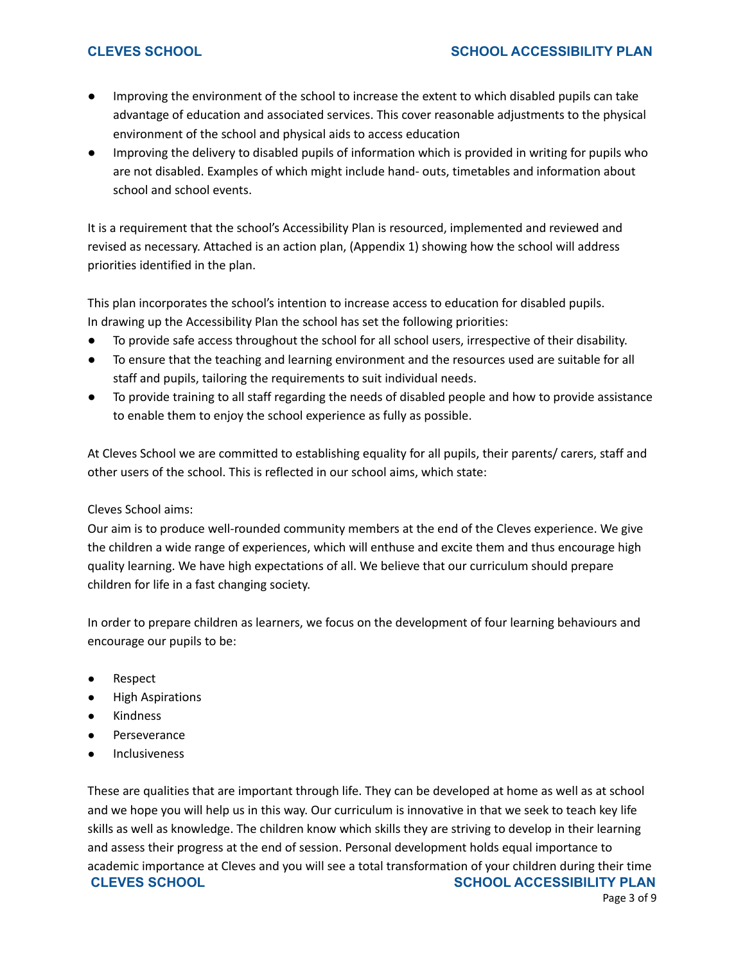- Improving the environment of the school to increase the extent to which disabled pupils can take advantage of education and associated services. This cover reasonable adjustments to the physical environment of the school and physical aids to access education
- Improving the delivery to disabled pupils of information which is provided in writing for pupils who are not disabled. Examples of which might include hand- outs, timetables and information about school and school events.

It is a requirement that the school's Accessibility Plan is resourced, implemented and reviewed and revised as necessary. Attached is an action plan, (Appendix 1) showing how the school will address priorities identified in the plan.

This plan incorporates the school's intention to increase access to education for disabled pupils. In drawing up the Accessibility Plan the school has set the following priorities:

- To provide safe access throughout the school for all school users, irrespective of their disability.
- To ensure that the teaching and learning environment and the resources used are suitable for all staff and pupils, tailoring the requirements to suit individual needs.
- To provide training to all staff regarding the needs of disabled people and how to provide assistance to enable them to enjoy the school experience as fully as possible.

At Cleves School we are committed to establishing equality for all pupils, their parents/ carers, staff and other users of the school. This is reflected in our school aims, which state:

### Cleves School aims:

Our aim is to produce well-rounded community members at the end of the Cleves experience. We give the children a wide range of experiences, which will enthuse and excite them and thus encourage high quality learning. We have high expectations of all. We believe that our curriculum should prepare children for life in a fast changing society.

In order to prepare children as learners, we focus on the development of four learning behaviours and encourage our pupils to be:

- Respect
- **High Aspirations**
- **Kindness**
- Perseverance
- **Inclusiveness**

These are qualities that are important through life. They can be developed at home as well as at school and we hope you will help us in this way. Our curriculum is innovative in that we seek to teach key life skills as well as knowledge. The children know which skills they are striving to develop in their learning and assess their progress at the end of session. Personal development holds equal importance to academic importance at Cleves and you will see a total transformation of your children during their time **CLEVES SCHOOL SCHOOL ACCESSIBILITY PLAN**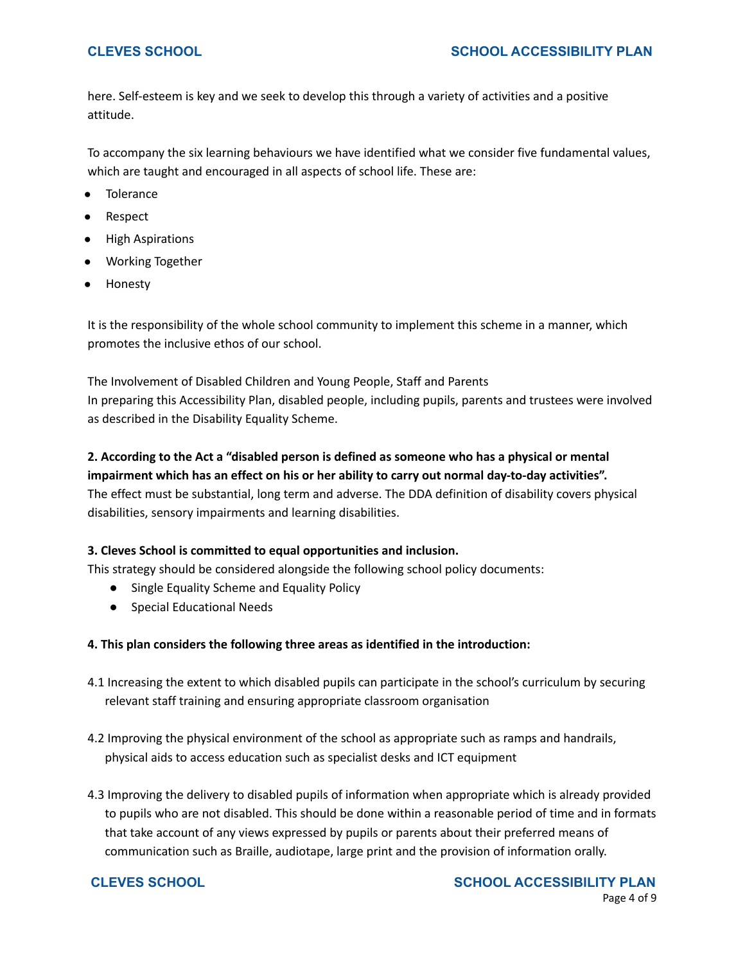here. Self-esteem is key and we seek to develop this through a variety of activities and a positive attitude.

To accompany the six learning behaviours we have identified what we consider five fundamental values, which are taught and encouraged in all aspects of school life. These are:

- **Tolerance**
- **Respect**
- **High Aspirations**
- Working Together
- **Honesty**

It is the responsibility of the whole school community to implement this scheme in a manner, which promotes the inclusive ethos of our school.

The Involvement of Disabled Children and Young People, Staff and Parents In preparing this Accessibility Plan, disabled people, including pupils, parents and trustees were involved as described in the Disability Equality Scheme.

### **2. According to the Act a "disabled person is defined as someone who has a physical or mental impairment which has an effect on his or her ability to carry out normal day-to-day activities".**

The effect must be substantial, long term and adverse. The DDA definition of disability covers physical disabilities, sensory impairments and learning disabilities.

### **3. Cleves School is committed to equal opportunities and inclusion.**

This strategy should be considered alongside the following school policy documents:

- Single Equality Scheme and Equality Policy
- Special Educational Needs

### **4. This plan considers the following three areas as identified in the introduction:**

- 4.1 Increasing the extent to which disabled pupils can participate in the school's curriculum by securing relevant staff training and ensuring appropriate classroom organisation
- 4.2 Improving the physical environment of the school as appropriate such as ramps and handrails, physical aids to access education such as specialist desks and ICT equipment
- 4.3 Improving the delivery to disabled pupils of information when appropriate which is already provided to pupils who are not disabled. This should be done within a reasonable period of time and in formats that take account of any views expressed by pupils or parents about their preferred means of communication such as Braille, audiotape, large print and the provision of information orally.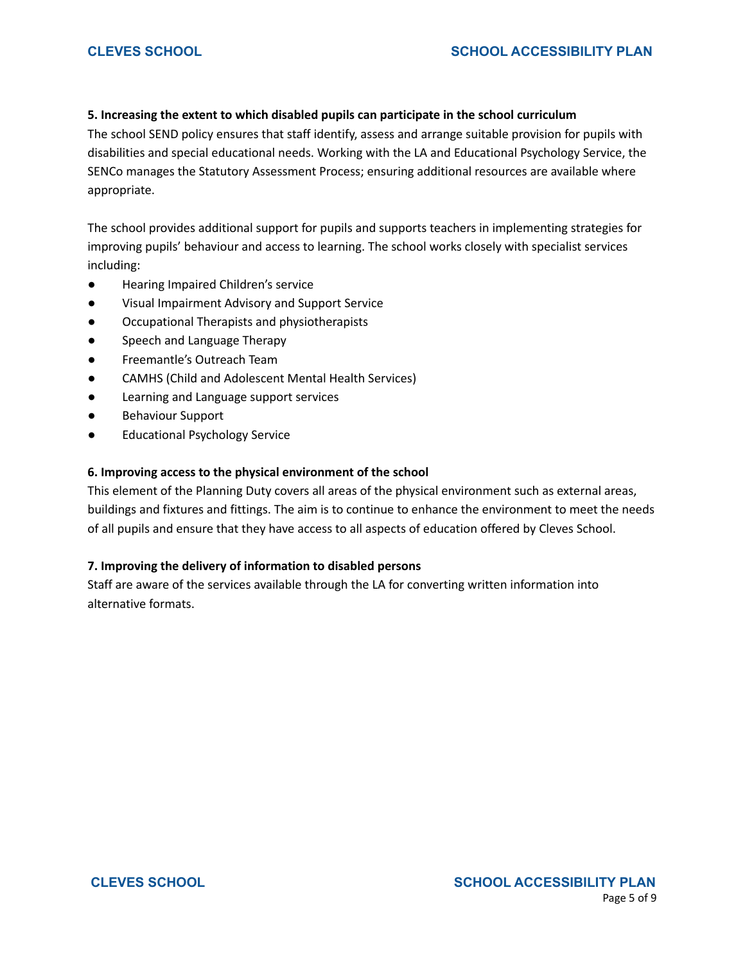### **5. Increasing the extent to which disabled pupils can participate in the school curriculum**

The school SEND policy ensures that staff identify, assess and arrange suitable provision for pupils with disabilities and special educational needs. Working with the LA and Educational Psychology Service, the SENCo manages the Statutory Assessment Process; ensuring additional resources are available where appropriate.

The school provides additional support for pupils and supports teachers in implementing strategies for improving pupils' behaviour and access to learning. The school works closely with specialist services including:

- Hearing Impaired Children's service
- Visual Impairment Advisory and Support Service
- Occupational Therapists and physiotherapists
- Speech and Language Therapy
- Freemantle's Outreach Team
- CAMHS (Child and Adolescent Mental Health Services)
- Learning and Language support services
- **Behaviour Support**
- Educational Psychology Service

#### **6. Improving access to the physical environment of the school**

This element of the Planning Duty covers all areas of the physical environment such as external areas, buildings and fixtures and fittings. The aim is to continue to enhance the environment to meet the needs of all pupils and ensure that they have access to all aspects of education offered by Cleves School.

#### **7. Improving the delivery of information to disabled persons**

Staff are aware of the services available through the LA for converting written information into alternative formats.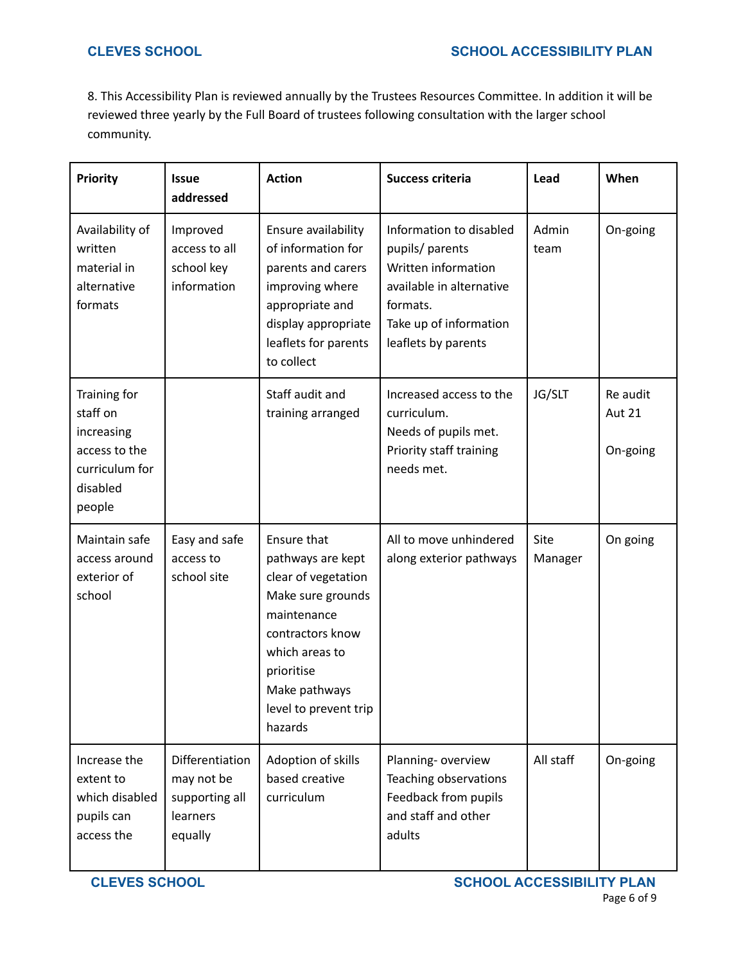8. This Accessibility Plan is reviewed annually by the Trustees Resources Committee. In addition it will be reviewed three yearly by the Full Board of trustees following consultation with the larger school community.

| <b>Priority</b>                                                                                 | <b>Issue</b><br>addressed                                              | <b>Action</b>                                                                                                                                                                                        | <b>Success criteria</b>                                                                                                                                    | Lead            | When                                  |
|-------------------------------------------------------------------------------------------------|------------------------------------------------------------------------|------------------------------------------------------------------------------------------------------------------------------------------------------------------------------------------------------|------------------------------------------------------------------------------------------------------------------------------------------------------------|-----------------|---------------------------------------|
| Availability of<br>written<br>material in<br>alternative<br>formats                             | Improved<br>access to all<br>school key<br>information                 | Ensure availability<br>of information for<br>parents and carers<br>improving where<br>appropriate and<br>display appropriate<br>leaflets for parents<br>to collect                                   | Information to disabled<br>pupils/ parents<br>Written information<br>available in alternative<br>formats.<br>Take up of information<br>leaflets by parents | Admin<br>team   | On-going                              |
| Training for<br>staff on<br>increasing<br>access to the<br>curriculum for<br>disabled<br>people |                                                                        | Staff audit and<br>training arranged                                                                                                                                                                 | Increased access to the<br>curriculum.<br>Needs of pupils met.<br>Priority staff training<br>needs met.                                                    | JG/SLT          | Re audit<br><b>Aut 21</b><br>On-going |
| Maintain safe<br>access around<br>exterior of<br>school                                         | Easy and safe<br>access to<br>school site                              | Ensure that<br>pathways are kept<br>clear of vegetation<br>Make sure grounds<br>maintenance<br>contractors know<br>which areas to<br>prioritise<br>Make pathways<br>level to prevent trip<br>hazards | All to move unhindered<br>along exterior pathways                                                                                                          | Site<br>Manager | On going                              |
| Increase the<br>extent to<br>which disabled<br>pupils can<br>access the                         | Differentiation<br>may not be<br>supporting all<br>learners<br>equally | Adoption of skills<br>based creative<br>curriculum                                                                                                                                                   | Planning-overview<br>Teaching observations<br>Feedback from pupils<br>and staff and other<br>adults                                                        | All staff       | On-going                              |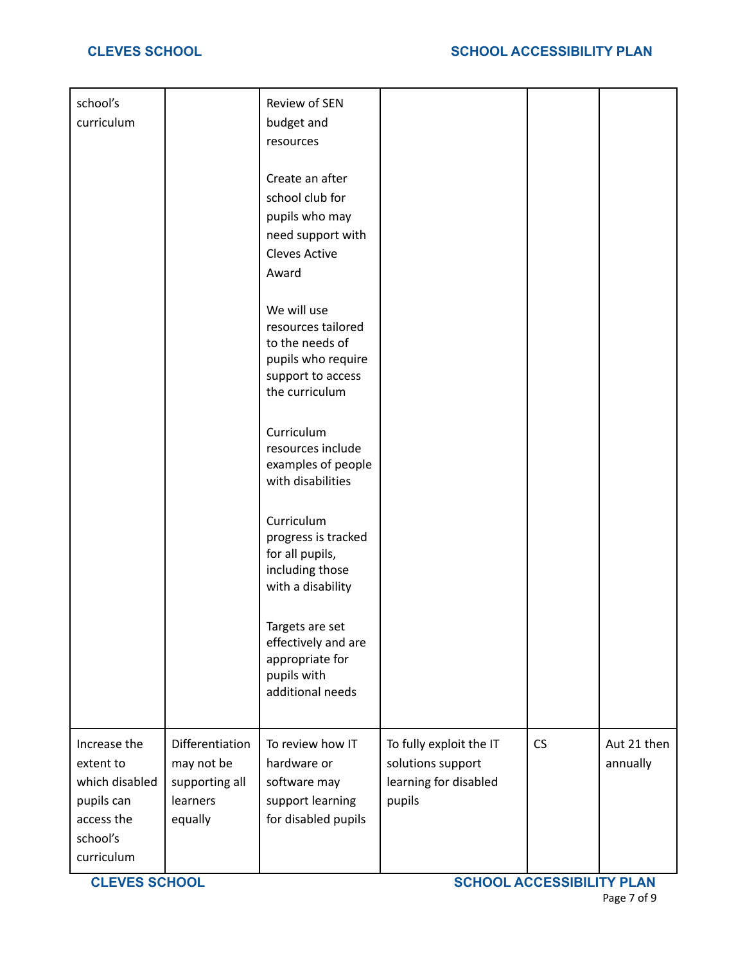| school's<br>curriculum                                                                            |                                                                        | Review of SEN<br>budget and<br>resources<br>Create an after<br>school club for<br>pupils who may<br>need support with<br><b>Cleves Active</b><br>Award<br>We will use<br>resources tailored<br>to the needs of<br>pupils who require<br>support to access<br>the curriculum<br>Curriculum<br>resources include<br>examples of people<br>with disabilities<br>Curriculum<br>progress is tracked<br>for all pupils,<br>including those<br>with a disability<br>Targets are set<br>effectively and are<br>appropriate for<br>pupils with<br>additional needs |                                                                                 |    |                         |
|---------------------------------------------------------------------------------------------------|------------------------------------------------------------------------|-----------------------------------------------------------------------------------------------------------------------------------------------------------------------------------------------------------------------------------------------------------------------------------------------------------------------------------------------------------------------------------------------------------------------------------------------------------------------------------------------------------------------------------------------------------|---------------------------------------------------------------------------------|----|-------------------------|
|                                                                                                   |                                                                        |                                                                                                                                                                                                                                                                                                                                                                                                                                                                                                                                                           |                                                                                 |    |                         |
| Increase the<br>extent to<br>which disabled<br>pupils can<br>access the<br>school's<br>curriculum | Differentiation<br>may not be<br>supporting all<br>learners<br>equally | To review how IT<br>hardware or<br>software may<br>support learning<br>for disabled pupils                                                                                                                                                                                                                                                                                                                                                                                                                                                                | To fully exploit the IT<br>solutions support<br>learning for disabled<br>pupils | CS | Aut 21 then<br>annually |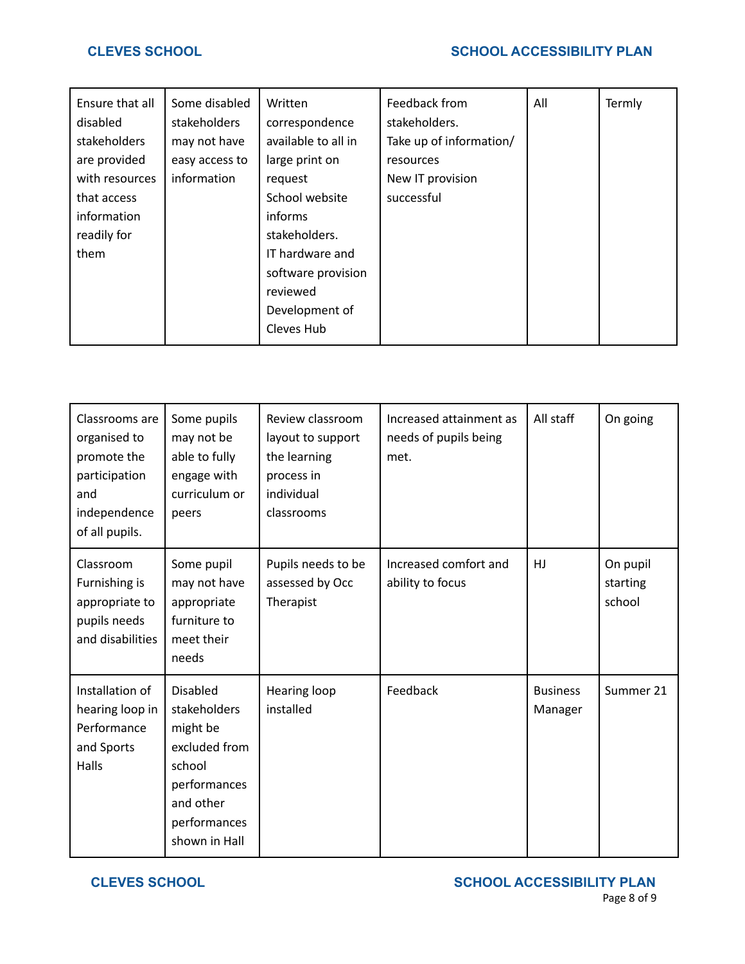# **CLEVES SCHOOL SCHOOL ACCESSIBILITY PLAN**

| Ensure that all<br>disabled<br>stakeholders<br>are provided<br>with resources<br>that access<br>information<br>readily for<br>them | Some disabled<br>stakeholders<br>may not have<br>easy access to<br>information | Written<br>correspondence<br>available to all in<br>large print on<br>request<br>School website<br>informs<br>stakeholders.<br>IT hardware and<br>software provision<br>reviewed<br>Development of<br>Cleves Hub | Feedback from<br>stakeholders.<br>Take up of information/<br>resources<br>New IT provision<br>successful | All | Termly |
|------------------------------------------------------------------------------------------------------------------------------------|--------------------------------------------------------------------------------|------------------------------------------------------------------------------------------------------------------------------------------------------------------------------------------------------------------|----------------------------------------------------------------------------------------------------------|-----|--------|
|------------------------------------------------------------------------------------------------------------------------------------|--------------------------------------------------------------------------------|------------------------------------------------------------------------------------------------------------------------------------------------------------------------------------------------------------------|----------------------------------------------------------------------------------------------------------|-----|--------|

| Classrooms are<br>organised to<br>promote the<br>participation<br>and<br>independence<br>of all pupils. | Some pupils<br>may not be<br>able to fully<br>engage with<br>curriculum or<br>peers                                                  | Review classroom<br>layout to support<br>the learning<br>process in<br>individual<br>classrooms | Increased attainment as<br>needs of pupils being<br>met. | All staff                  | On going                       |
|---------------------------------------------------------------------------------------------------------|--------------------------------------------------------------------------------------------------------------------------------------|-------------------------------------------------------------------------------------------------|----------------------------------------------------------|----------------------------|--------------------------------|
| Classroom<br>Furnishing is<br>appropriate to<br>pupils needs<br>and disabilities                        | Some pupil<br>may not have<br>appropriate<br>furniture to<br>meet their<br>needs                                                     | Pupils needs to be<br>assessed by Occ<br>Therapist                                              | Increased comfort and<br>ability to focus                | HJ                         | On pupil<br>starting<br>school |
| Installation of<br>hearing loop in<br>Performance<br>and Sports<br>Halls                                | <b>Disabled</b><br>stakeholders<br>might be<br>excluded from<br>school<br>performances<br>and other<br>performances<br>shown in Hall | Hearing loop<br>installed                                                                       | Feedback                                                 | <b>Business</b><br>Manager | Summer 21                      |